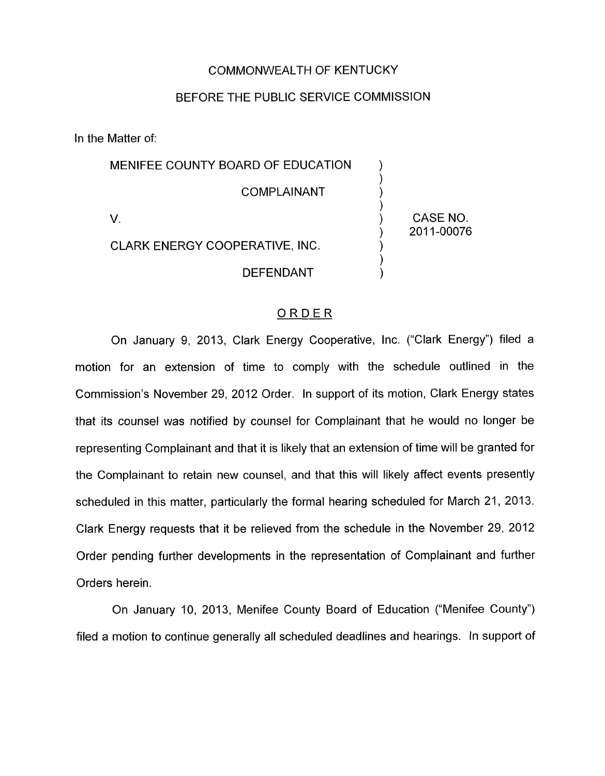## COMMONWEALTH OF KENTUCKY

## BEFORE THE PUBLIC SERVICE COMMISSION

In the Matter of:

| MENIFEE COUNTY BOARD OF EDUCATION |                        |
|-----------------------------------|------------------------|
| COMPLAINANT                       |                        |
|                                   | CASE NO.<br>2011-00076 |
| CLARK ENERGY COOPERATIVE, INC.    |                        |
| DEFENDANT                         |                        |

## ORDER

On January 9, 2013, Clark Energy Cooperative, Inc. ("Clark Energy") filed a motion for an extension of time to comply with the schedule outlined in the Commission's November 29, 2012 Order. In support of its motion, Clark Energy states that its counsel was notified by counsel for Complainant that he would no longer be representing Complainant and that it is likely that an extension of time will be granted for the Complainant to retain new counsel, and that this will likely affect events presently scheduled in this matter, particularly the formal hearing scheduled for March 21, 2013. Clark Energy requests that it be relieved from the schedule in the November 29, 2012 Order pending further developments in the representation of Complainant and further Orders herein.

On January 10, 2013, Menifee County Board of Education ("Menifee County") filed a motion to continue generally all scheduled deadlines and hearings. In support of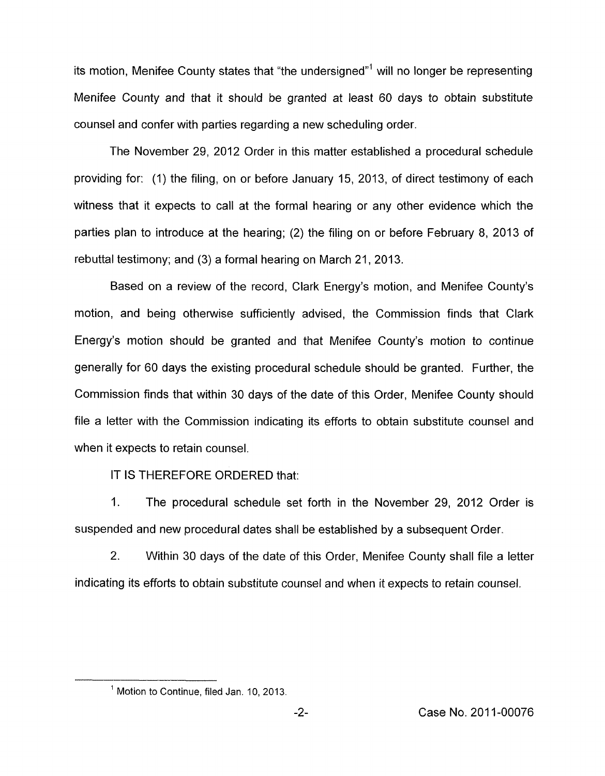its motion, Menifee County states that "the undersigned"' will no longer be representing Menifee County and that it should be granted at least 60 days to obtain substitute counsel and confer with parties regarding a new scheduling order.

The November 29, 2012 Order in this matter established a procedural schedule providing for: (1) the filing, on or before January 15, 2013, of direct testimony of each witness that it expects to call at the formal hearing or any other evidence which the parties plan to introduce at the hearing; (2) the filing on or before February 8, 2013 of rebuttal testimony; and (3) a formal hearing on March 21, 2013.

Based on a review of the record, Clark Energy's motion, and Menifee County's motion, and being otherwise sufficiently advised, the Commission finds that Clark Energy's motion should be granted and that Menifee County's motion to continue generally for 60 days the existing procedural schedule should be granted. Further, the Commission finds that within 30 days of the date of this Order, Menifee County should file a letter with the Commission indicating its efforts to obtain substitute counsel and when it expects to retain counsel.

IT IS THEREFORE ORDERED that:

1. The procedural schedule set forth in the November 29, 2012 Order is suspended and new procedural dates shall be established by a subsequent Order.

2. Within 30 days of the date of this Order, Menifee County shall file a letter indicating its efforts to obtain substitute counsel and when it expects to retain counsel.

<sup>&</sup>lt;sup>1</sup> Motion to Continue, filed Jan. 10, 2013.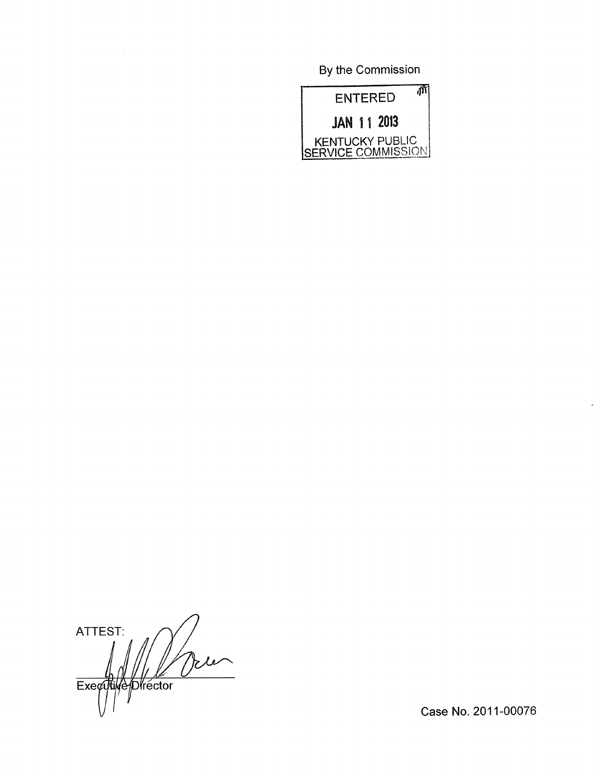By the Commission



ATTEST: te Executive Director

Case No. 2011-00076

 $\ddot{\phantom{1}}$